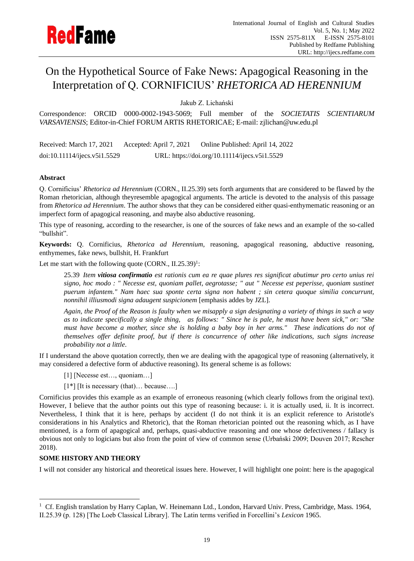

# On the Hypothetical Source of Fake News: Apagogical Reasoning in the Interpretation of Q. CORNIFICIUS' *RHETORICA AD HERENNIUM*

Jakub Z. Lichański

Correspondence: ORCID 0000-0002-1943-5069; Full member of the *SOCIETATIS SCIENTIARUM VARSAVIENSIS*; Editor-in-Chief FORUM ARTIS RHETORICAE; E-mail: zjlichan@uw.edu.pl

Received: March 17, 2021 Accepted: April 7, 2021 Online Published: April 14, 2022 doi:10.11114/ijecs.v5i1.5529 URL: https://doi.org/10.11114/ijecs.v5i1.5529

## **Abstract**

Q. Cornificius' *Rhetorica ad Herennium* (CORN., II.25.39) sets forth arguments that are considered to be flawed by the Roman rhetorician, although theyresemble apagogical arguments. The article is devoted to the analysis of this passage from *Rhetorica ad Herennium*. The author shows that they can be considered either quasi-enthymematic reasoning or an imperfect form of apagogical reasoning, and maybe also abductive reasoning.

This type of reasoning, according to the researcher, is one of the sources of fake news and an example of the so-called "bullshit".

**Keywords:** Q. Cornificius, *Rhetorica ad Herennium*, reasoning, apagogical reasoning, abductive reasoning, enthymemes, fake news, bullshit, H. Frankfurt

Let me start with the following quote (CORN., II.25.39)<sup>1</sup>:

25.39 *Item vitiosa confirmatio est rationis cum ea re quae plures res significat abutimur pro certo unius rei signo, hoc modo : " Necesse est, quoniam pallet, aegrotasse; " aut " Necesse est peperisse, quoniam sustinet puerum infantem." Nam haec sua sponte certa signa non habent ; sin cetera quoque similia concurrunt, nonnihil illiusmodi signa adaugent suspicionem* [emphasis addes by JZL].

*Again, the Proof of the Reason is faulty when we misapply a sign designating a variety of things in such a way as to indicate specifically a single thing, as follows: " Since he is pale, he must have been sick," or: "She must have become a mother, since she is holding a baby boy in her arms." These indications do not of themselves offer definite proof, but if there is concurrence of other like indications, such signs increase probability not a little*.

If I understand the above quotation correctly, then we are dealing with the apagogical type of reasoning (alternatively, it may considered a defective form of abductive reasoning). Its general scheme is as follows:

[1] [Necesse est..., quoniam...]

[1\*] [It is necessary (that)... because....]

Cornificius provides this example as an example of erroneous reasoning (which clearly follows from the original text). However, I believe that the author points out this type of reasoning because: i. it is actually used, ii. It is incorrect. Nevertheless, I think that it is here, perhaps by accident (I do not think it is an explicit reference to Aristotle's considerations in his Analytics and Rhetoric), that the Roman rhetorician pointed out the reasoning which, as I have mentioned, is a form of apagogical and, perhaps, quasi-abductive reasoning and one whose defectiveness / fallacy is obvious not only to logicians but also from the point of view of common sense (Urbański 2009; Douven 2017; Rescher 2018).

## **SOME HISTORY AND THEORY**

I will not consider any historical and theoretical issues here. However, I will highlight one point: here is the apagogical

<sup>&</sup>lt;sup>1</sup> Cf. English translation by Harry Caplan, W. Heinemann Ltd., London, Harvard Univ. Press, Cambridge, Mass. 1964, II.25.39 (p. 128) [The Loeb Classical Library]. The Latin terms verified in Forcellini's *Lexicon* 1965.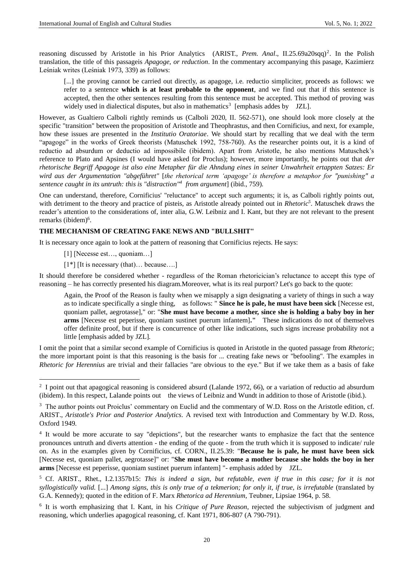reasoning discussed by Aristotle in his Prior Analytics (ARIST., *Prem. Anal.*, II.25.69a20sqq)<sup>2</sup>. In the Polish translation, the title of this passageis *Apagoge, or reduction*. In the commentary accompanying this pasage, Kazimierz Leśniak writes (Leśniak 1973, 339) as follows:

[...] the proving cannot be carried out directly, as apagoge, i.e. reductio simpliciter, proceeds as follows: we refer to a sentence **which is at least probable to the opponent**, and we find out that if this sentence is accepted, then the other sentences resulting from this sentence must be accepted. This method of proving was widely used in dialectical disputes, but also in mathematics<sup>3</sup> [emphasis addes by  $JZL$ ].

However, as Gualtiero Calboli rightly reminds us (Calboli 2020, II. 562-571), one should look more closely at the specific "transition" between the proposition of Aristotle and Theophrastus, and then Cornificius, and next, for example, how these issues are presented in the *Institutio Oratoriae*. We should start by recalling that we deal with the term "apagoge" in the works of Greek theorists (Matuschek 1992, 758-760). As the researcher points out, it is a kind of reductio ad absurdum or deductio ad impossibile (ibidem). Apart from Aristotle, he also mentions Matuschek's reference to Plato and Apsines (I would have asked for Proclus); however, more importantly, he points out that *der rhetorische Begriff Apagoge ist also eine Metapher für die Ahndung eines in seiner Unwahrheit ertappten Satzes: Er wird aus der Argumentation "abgeführet"* [*the rhetorical term 'apagoge' is therefore a metaphor for "punishing" a sentence caught in its untruth: this is "distraction"<sup>4</sup> from argument*] (ibid., 759).

One can understand, therefore, Cornificius' "reluctance" to accept such arguments; it is, as Calboli rightly points out, with detriment to the theory and practice of pisteis, as Aristotle already pointed out in *Rhetoric<sup>5</sup>*. Matuschek draws the reader's attention to the considerations of, inter alia, G.W. Leibniz and I. Kant, but they are not relevant to the present remarks (ibidem)<sup>6</sup>.

### **THE MECHANISM OF CREATING FAKE NEWS AND "BULLSHIT"**

It is necessary once again to look at the pattern of reasoning that Cornificius rejects. He says:

- [1] [Necesse est..., quoniam...]
- $[1^*]$  [It is necessary (that)... because....]

It should therefore be considered whether - regardless of the Roman rhetoricician's reluctance to accept this type of reasoning – he has correctly presented his diagram.Moreover, what is its real purport? Let's go back to the quote:

Again, the Proof of the Reason is faulty when we misapply a sign designating a variety of things in such a way as to indicate specifically a single thing, as follows: " **Since he is pale, he must have been sick** [Necesse est, quoniam pallet, aegrotasse]," or: "**She must have become a mother, since she is holding a baby boy in her arms** [Necesse est peperisse, quoniam sustinet puerum infantem]**."** These indications do not of themselves offer definite proof, but if there is concurrence of other like indications, such signs increase probability not a little [emphasis added by JZL].

I omit the point that a similar second example of Cornificius is quoted in Aristotle in the quoted passage from *Rhetoric*; the more important point is that this reasoning is the basis for ... creating fake news or "befooling". The examples in *Rhetoric for Herennius* are trivial and their fallacies "are obvious to the eye." But if we take them as a basis of fake

 $2\,$  I point out that apagogical reasoning is considered absurd (Lalande 1972, 66), or a variation of reductio ad absurdum (ibidem). In this respect, Lalande points out the views of Leibniz and Wundt in addition to those of Aristotle (ibid.).

<sup>&</sup>lt;sup>3</sup> The author points out Proiclus' commentary on Euclid and the commentary of W.D. Ross on the Aristotle edition, cf. ARIST., *Aristotle's Prior and Posterior Analytics*. A revised text with Introduction and Commentary by W.D. Ross, Oxford 1949.

<sup>&</sup>lt;sup>4</sup> It would be more accurate to say "depictions", but the researcher wants to emphasize the fact that the sentence pronounces untruth and diverts attention - the ending of the quote - from the truth which it is supposed to indicate/ rule on. As in the examples given by Cornificius, cf. CORN., II.25.39: "**Because he is pale, he must have been sick** [Necesse est, quoniam pallet, aegrotasse]" or: "**She must have become a mother because she holds the boy in her arms** [Necesse est peperisse, quoniam sustinet puerum infantem] "- emphasis added by JZL.

<sup>5</sup> Cf. ARIST., Rhet., I.2.1357b15: *This is indeed a sign, but refutable, even if true in this case; for it is not syllogistically valid.* [...] *Among signs, this is only true of a tekmerion; for only it, if true, is irrefutable* (translated by G.A. Kennedy); quoted in the edition of F. Marx *Rhetorica ad Herennium*, Teubner, Lipsiae 1964, p. 58.

<sup>6</sup> It is worth emphasizing that I. Kant, in his *Critique of Pure Reason*, rejected the subjectivism of judgment and reasoning, which underlies apagogical reasoning, cf. Kant 1971, 806-807 (A 790-791).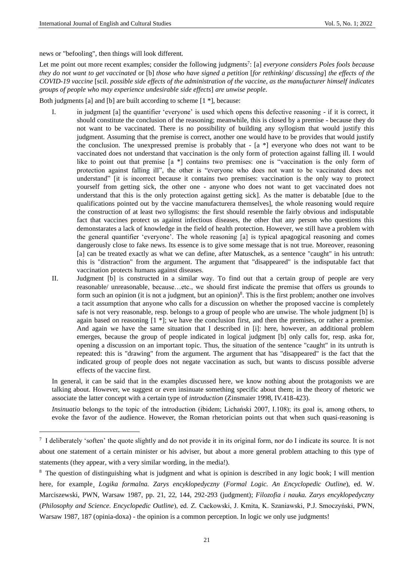news or "befooling", then things will look different.

Let me point out more recent examples; consider the following judgments<sup>7</sup>: [a] *everyone considers Poles fools because they do not want to get vaccinated* or [b] *those who have signed a petition* [*for rethinking/ discussing*] *the effects of the COVID-19 vaccine* [scil. *possible side effects of the administration of the vaccine, as the manufacturer himself indicates groups of people who may experience undesirable side effects*] *are unwise people*.

Both judgments [a] and [b] are built according to scheme [1 \*], because:

- I. in judgment [a] the quantifier 'everyone' is used which opens this defective reasoning if it is correct, it should constitute the conclusion of the reasoning; meanwhile, this is closed by a premise - because they do not want to be vaccinated. There is no possibility of building any syllogism that would justify this judgment. Assuming that the premise is correct, another one would have to be provides that would justify the conclusion. The unexpressed premise is probably that - [a \*] everyone who does not want to be vaccinated does not understand that vaccination is the only form of protection against falling ill. I would like to point out that premise [a \*] contains two premises: one is "vaccination is the only form of protection against falling ill", the other is "everyone who does not want to be vaccinated does not understand" [it is incorrect because it contains two premises: vaccination is the only way to protect yourself from getting sick, the other one - anyone who does not want to get vaccinated does not understand that this is the only protection against getting sick]. As the matter is debatable [due to the qualifications pointed out by the vaccine manufacturera themselves], the whole reasoning would require the construction of at least two syllogisms: the first should resemble the fairly obvious and indisputable fact that vaccines protect us against infectious diseases, the other that any person who questions this demonstarates a lack of knowledge in the field of health protection. However, we still have a problem with the general quantifier 'everyone'. The whole reasoning [a] is typical apagogical reasoning and comes dangerously close to fake news. Its essence is to give some message that is not true. Moreover, reasoning [a] can be treated exactly as what we can define, after Matuschek, as a sentence "caught" in his untruth: this is "distraction" from the argument. The argument that "disappeared" is the indisputable fact that vaccination protects humans against diseases.
- II. Judgment [b] is constructed in a similar way. To find out that a certain group of people are very reasonable/ unreasonable, because…etc., we should first indicate the premise that offers us grounds to form such an opinion (it is not a judgment, but an opinion)<sup>8</sup>. This is the first problem; another one involves a tacit assumption that anyone who calls for a discussion on whether the proposed vaccine is completely safe is not very reasonable, resp. belongs to a group of people who are unwise. The whole judgment [b] is again based on reasoning [1 \*]; we have the conclusion first, and then the premises, or rather a premise. And again we have the same situation that I described in [i]: here, however, an additional problem emerges, because the group of people indicated in logical judgment [b] only calls for, resp. aska for, opening a discussion on an important topic. Thus, the situation of the sentence "caught" in its untruth is repeated: this is "drawing" from the argument. The argument that has "disappeared" is the fact that the indicated group of people does not negate vaccination as such, but wants to discuss possible adverse effects of the vaccine first.

In general, it can be said that in the examples discussed here, we know nothing about the protagonists we are talking about. However, we suggest or even insinuate something specific about them; in the theory of rhetoric we associate the latter concept with a certain type of *introduction* (Zinsmaier 1998, IV.418-423).

*Insinuatio* belongs to the topic of the introduction (ibidem; Lichański 2007, I.108); its goal is, among others, to evoke the favor of the audience. However, the Roman rhetorician points out that when such quasi-reasoning is

<sup>&</sup>lt;sup>7</sup> I deliberately 'soften' the quote slightly and do not provide it in its original form, nor do I indicate its source. It is not about one statement of a certain minister or his adviser, but about a more general problem attaching to this type of statements (they appear, with a very similar wording, in the media!).

<sup>8</sup> The question of distinguishing what is judgment and what is opinion is described in any logic book; I will mention here, for example¸ *Logika formalna. Zarys encyklopedyczny* (*Formal Logic. An Encyclopedic Outline*), ed. W. Marciszewski, PWN, Warsaw 1987, pp. 21, 22, 144, 292-293 (judgment); *Filozofia i nauka. Zarys encyklopedyczny*  (*Philosophy and Science. Encyclopedic Outline*), ed. Z. Cackowski, J. Kmita, K. Szaniawski, P.J. Smoczyński, PWN, Warsaw 1987, 187 (opinia-doxa) - the opinion is a common perception. In logic we only use judgments!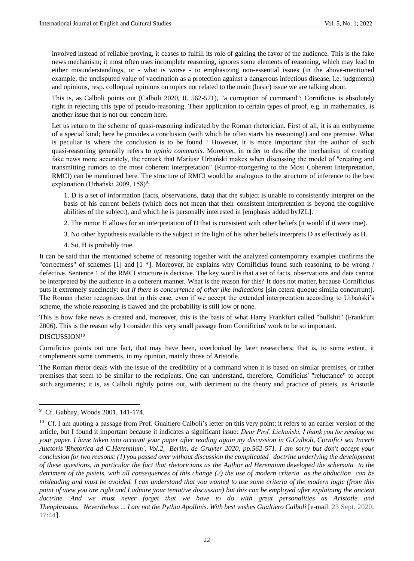involved instead of reliable proving, it ceases to fulfill its role of gaining the favor of the audience. This is the fake news mechanism; it most often uses incomplete reasoning, ignores some elements of reasoning, which may lead to either misunderstandings, or - what is worse - to emphasizing non-essential issues (in the above-mentioned example, the undisputed value of vaccination as a protection against a dangerous infectious disease, i.e. judgments) and opinions, resp. colloquial opinions on topics not related to the main (basic) issue we are talking about.

This is, as Calboli points out (Calboli 2020, II. 562-571), "a corruption of command"; Cornificius is absolutely right in rejecting this type of pseudo-reasoning. Their application to certain types of proof, e.g. in mathematics, is another issue that is not our concern here.

Let us return to the scheme of quasi-reasoning indicated by the Roman rhetorician. First of all, it is an enthymeme of a special kind; here he provides a conclusion (with which he often starts his reasoning!) and one premise. What is peculiar is where the conclusion is to be found ! However, it is more important that the author of such quasi-reasoning generally refers to *opinio communis*. Moreover, in order to describe the mechanism of creating fake news more accurately, the remark that Mariusz Urbański makes when discussing the model of "creating and transmitting rumors to the most coherent interpretation" (Rumor-mongering to the Most Coherent Interpretation, RMCI) can be mentioned here. The structure of RMCI would be analogous to the structure of inference to the best explanation (Urbański 2009, 158)<sup>9</sup>:

1. D is a set of information (facts, observations, data) that the subject is unable to consistently interpret on the basis of his current beliefs (which does not mean that their consistent interpretation is beyond the cognitive abilities of the subject), and which he is personally interested in [emphasis added byJZL].

2. The rumor H allows for an interpretation of D that is consistent with other beliefs (it would if it were true).

3. No other hypothesis available to the subject in the light of his other beliefs interprets D as effectively as H.

4. So, H is probably true.

It can be said that the mentioned scheme of reasoning together with the analyzed contemporary examples confirms the "correctness" of schemes [1] and [1 \*]. Moreover, he explains why Cornificius found such reasoning to be wrong / defective. Sentence 1 of the RMCI structure is decisive. The key word is that a set of facts, observations and data cannot be interpreted by the audience in a coherent manner. What is the reason for this? It does not matter, because Cornificius puts it extremely succinctly: *but if there is concurrence of other like indications* [sin cetera quoque similia concurrunt]. The Roman rhetor recognizes that in this case, even if we accept the extended interpretation according to Urbański's scheme, the whole reasoning is flawed and the probability is still low or none.

This is how fake news is created and, moreover, this is the basis of what Harry Frankfurt called "bullshit" (Frankfurt 2006). This is the reason why I consider this very small passage from Cornificius' work to be so important.

## DISCUSSION<sup>10</sup>

Cornificius points out one fact, that may have been, overlooked by later researchers; that is, to some extent, it complements some comments, in my opinion, mainly those of Aristotle.

The Roman rhetor deals with the issue of the credibility of a command when it is based on similar premises, or rather premises that seem to be similar to the recipients. One can understand, therefore, Cornificius' "reluctance" to accept such arguments; it is, as Calboli rightly points out, with detriment to the theory and practice of pisteis, as Aristotle

<sup>9</sup> Cf. Gabbay, Woods 2001, 141-174.

<sup>&</sup>lt;sup>10</sup> Cf. I am quoting a passage from Prof. Gualtiero Calboli's letter on this very point; it refers to an earlier version of the article, but I found it important because it indicates a significant issue: *Dear Prof. Lichański, I thank you for sending me your paper. I have taken into account your paper after reading again my discussion in G.Calboli, Cornifici seu Incerti Auctoris 'Rhetorica ad C.Herennium', Vol.2, Berlin, de Gruyter 2020, pp.562-571. I am sorry but don't accept your conclusion for two reasons: (1) you passed over without discussion the complicated doctrine underlying the development of these questions, in particular the fact that rhetoricians as the Author ad Herennium developed the schemata to the detriment of the pisteis, with all consequences of this change (2) the use of modern criteria as the abduction can be misleading and must be avoided. I can understand that you wanted to use some criteria of the modern logic (from this point of view you are right and I admire your tentative discussion) but this can be employed after explaining the ancient doctrine. And we must never forget that we have to do with great personalities as Aristotle and Theophrastus. Nevertheless ... I am not the Pythia Apollinis. With best wishes Gualtiero Calboli* [e-mail: 23 Sept. 2020, 17:44].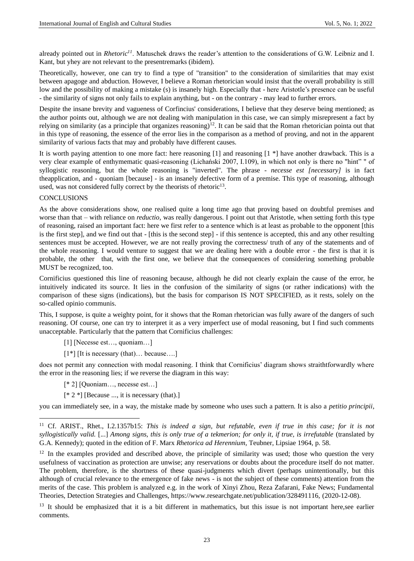already pointed out in *Rhetoric<sup>11</sup>*. Matuschek draws the reader's attention to the considerations of G.W. Leibniz and I. Kant, but yhey are not relevant to the presentremarks (ibidem).

Theoretically, however, one can try to find a type of "transition" to the consideration of similarities that may exist between apagoge and abduction. However, I believe a Roman rhetorician would insist that the overall probability is still low and the possibility of making a mistake (s) is insanely high. Especially that - here Aristotle's presence can be useful - the similarity of signs not only fails to explain anything, but - on the contrary - may lead to further errors.

Despite the insane brevity and vagueness of Corfincius' considerations, I believe that they deserve being mentioned; as the author points out, although we are not dealing with manipulation in this case, we can simply misrepresent a fact by relying on similarity (as a principle that organizes reasoning) $12$ . It can be said that the Roman rhetorician pointa out that in this type of reasoning, the essence of the error lies in the comparison as a method of proving, and not in the apparent similarity of various facts that may and probably have different causes.

It is worth paying attention to one more fact: here reasoning [1] and reasoning [1 \*] have another drawback. This is a very clear example of enthymematic quasi-reasoning (Lichański 2007, I.109), in which not only is there no "hint" " of syllogistic reasoning, but the whole reasoning is "inverted". The phrase - *necesse est [necessary]* is in fact theapplication, and - quoniam [because] - is an insanely defective form of a premise. This type of reasoning, although used, was not considered fully correct by the theorists of rhetoric<sup>13</sup>.

#### CONCLUSIONS

As the above considerations show, one realised quite a long time ago that proving based on doubtful premises and worse than that – with reliance on *reductio*, was really dangerous. I point out that Aristotle, when setting forth this type of reasoning, raised an important fact: here we first refer to a sentence which is at least as probable to the opponent [this is the first step], and we find out that - [this is the second step] - if this sentence is accepted, this and any other resulting sentences must be accepted. However, we are not really proving the correctness/ truth of any of the statements and of the whole reasoning. I would venture to suggest that we are dealing here with a double error - the first is that it is probable, the other that, with the first one, we believe that the consequences of considering something probable MUST be recognized, too.

Cornificius questioned this line of reasoning because, although he did not clearly explain the cause of the error, he intuitively indicated its source. It lies in the confusion of the similarity of signs (or rather indications) with the comparison of these signs (indications), but the basis for comparison IS NOT SPECIFIED, as it rests, solely on the so-called opinio communis.

This, I suppose, is quite a weighty point, for it shows that the Roman rhetorician was fully aware of the dangers of such reasoning. Of course, one can try to interpret it as a very imperfect use of modal reasoning, but I find such comments unacceptable. Particularly that the pattern that Cornificius challenges:

- [1] [Necesse est..., quoniam...]
- [1\*] [It is necessary (that)... because....]

does not permit any connection with modal reasoning. I think that Cornificius' diagram shows straithtforwardly where the error in the reasoning lies; if we reverse the diagram in this way:

- [\* 2] [Quoniam…, necesse est…]
- $[$  \* 2 \*] [Because ..., it is necessary (that).]

you can immediately see, in a way, the mistake made by someone who uses such a pattern. It is also a *petitio principii*,

<sup>11</sup> Cf. ARIST., Rhet., I.2.1357b15: *This is indeed a sign, but refutable, even if true in this case; for it is not syllogistically valid.* [...] *Among signs, this is only true of a tekmerion; for only it, if true, is irrefutable* (translated by G.A. Kennedy); quoted in the edition of F. Marx *Rhetorica ad Herennium*, Teubner, Lipsiae 1964, p. 58.

 $12$  In the examples provided and described above, the principle of similarity was used; those who question the very usefulness of vaccination as protection are unwise; any reservations or doubts about the procedure itself do not matter. The problem, therefore, is the shortness of these quasi-judgments which divert (perhaps unintentionally, but this although of crucial relevance to the emergence of fake news - is not the subject of these comments) attention from the merits of the case. This problem is analyzed e.g. in the work of Xinyi Zhou, Reza Zafarani, Fake News; Fundamental Theories, Detection Strategies and Challenges, https://www.researchgate.net/publication/328491116, (2020-12-08).

<sup>&</sup>lt;sup>13</sup> It should be emphasized that it is a bit different in mathematics, but this issue is not important here,see earlier comments.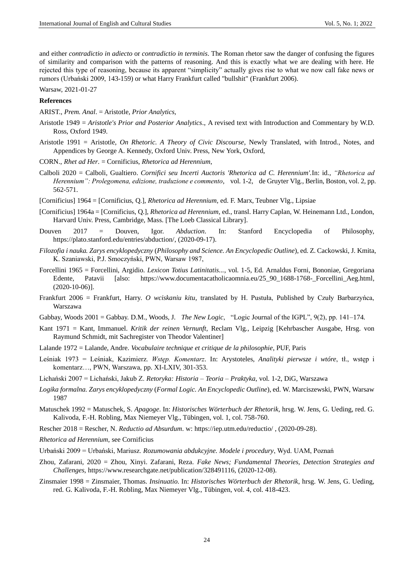and either *contradictio in adiecto* or *contradictio in terminis*. The Roman rhetor saw the danger of confusing the figures of similarity and comparison with the patterns of reasoning. And this is exactly what we are dealing with here. He rejected this type of reasoning, because its apparent "simplicity" actually gives rise to what we now call fake news or rumors (Urbański 2009, 143-159) or what Harry Frankfurt called "bullshit" (Frankfurt 2006).

Warsaw, 2021-01-27

#### **References**

ARIST., *Prem. Anal*. = Aristotle, *Prior Analytics*,

- Aristotle 1949 = *Aristotle's Prior and Posterior Analytics*., A revised text with Introduction and Commentary by W.D. Ross, Oxford 1949.
- Aristotle 1991 = Aristotle, *On Rhetoric. A Theory of Civic Discourse*, Newly Translated, with Introd., Notes, and Appendices by George A. Kennedy, Oxford Univ. Press, New York, Oxford,
- CORN., *Rhet ad Her*. = Cornificius, *Rhetorica ad Herennium*,
- Calboli 2020 = Calboli, Gualtiero. *Cornifici seu Incerti Auctoris 'Rhetorica ad C. Herennium'.*In: id., *"Rhetorica ad Herennium": Prolegomena, edizione, traduzione e commento*, vol. 1-2, de Gruyter Vlg., Berlin, Boston, vol. 2, pp. 562-571.
- [Cornificius] 1964 = [Cornificius, Q.], *Rhetorica ad Herennium*, ed. F. Marx, Teubner Vlg., Lipsiae
- [Cornificius] 1964a = [Cornificius, Q.], *Rhetorica ad Herennium*, ed., transl. Harry Caplan, W. Heinemann Ltd., London, Harvard Univ. Press, Cambridge, Mass. [The Loeb Classical Library].
- Douven 2017 = Douven, Igor. *Abduction*. In: Stanford Encyclopedia of Philosophy, [https://plato.stanford.edu/entries/abduction/,](https://plato.stanford.edu/entries/abduction/) (2020-09-17).
- *Filozofia i nauka. Zarys encyklopedyczny* (*Philosophy and Science. An Encyclopedic Outline*), ed. Z. Cackowski, J. Kmita, K. Szaniawski, P.J. Smoczyński, PWN, Warsaw 1987,
- Forcellini 1965 = Forcellini, Argidio. *Lexicon Totius Latinitatis...*, vol. 1-5, Ed. Arnaldus Forni, Bononiae, Gregoriana Edente, Patavii [also: [https://www.documentacatholicaomnia.eu/25\\_90\\_1688-1768-\\_Forcellini\\_Aeg.html,](https://www.documentacatholicaomnia.eu/25_90_1688-1768-_Forcellini_Aeg.html) (2020-10-06)].
- Frankfurt 2006 = Frankfurt, Harry. *O wciskaniu kitu*, translated by H. Pustuła, Published by Czuły Barbarzyńca, Warszawa
- Gabbay, Woods 2001 = Gabbay. D.M., Woods, J. *The New Logic*, "Logic Journal of the IGPL", 9(2), pp. 141–174.
- Kant 1971 = Kant, Immanuel. *Kritik der reinen Vernunft*, Reclam Vlg., Leipzig [Kehrbascher Ausgabe, Hrsg. von Raymund Schmidt, mit Sachregister von Theodor Valentiner]
- Lalande 1972 = Lalande, Andre. *Vocabulaire technique et critique de la philosophie*, PUF, Paris
- Leśniak 1973 = Leśniak, Kazimierz. *Wstęp. Komentarz*. In: Arystoteles, *Analityki pierwsze i wtóre*, tł., wstęp i komentarz…, PWN, Warszawa, pp. XI-LXIV, 301-353.
- Lichański 2007 = Lichański, Jakub Z. *Retoryka: Historia – Teoria – Praktyka*, vol. 1-2, DiG, Warszawa
- *Logika formalna. Zarys encyklopedyczny* (*Formal Logic. An Encyclopedic Outline*), ed. W. Marciszewski, PWN, Warsaw 1987
- Matuschek 1992 = Matuschek, S. *Apagoge*. In: *Historisches Wörterbuch der Rhetorik*, hrsg. W. Jens, G. Ueding, red. G. Kalivoda, F.-H. Robling, Max Niemeyer Vlg., Tübingen, vol. 1, col. 758-760.
- Rescher 2018 = Rescher, N. *Reductio ad Absurdum*. w[: https://iep.utm.edu/reductio/](https://iep.utm.edu/reductio/) , (2020-09-28).
- *Rhetorica ad Herennium*, see Cornificius
- Urbański 2009 = Urbański, Mariusz. *Rozumowania abdukcyjne. Modele i procedury*, Wyd. UAM, Poznań
- Zhou, Zafarani, 2020 = Zhou, Xinyi. Zafarani, Reza. *Fake News; Fundamental Theories, Detection Strategies and Challenges*, https://www.researchgate.net/publication/328491116, (2020-12-08).
- Zinsmaier 1998 = Zinsmaier, Thomas. *Insinuatio*. In: *Historisches Wörterbuch der Rhetorik*, hrsg. W. Jens, G. Ueding, red. G. Kalivoda, F.-H. Robling, Max Niemeyer Vlg., Tübingen, vol. 4, col. 418-423.